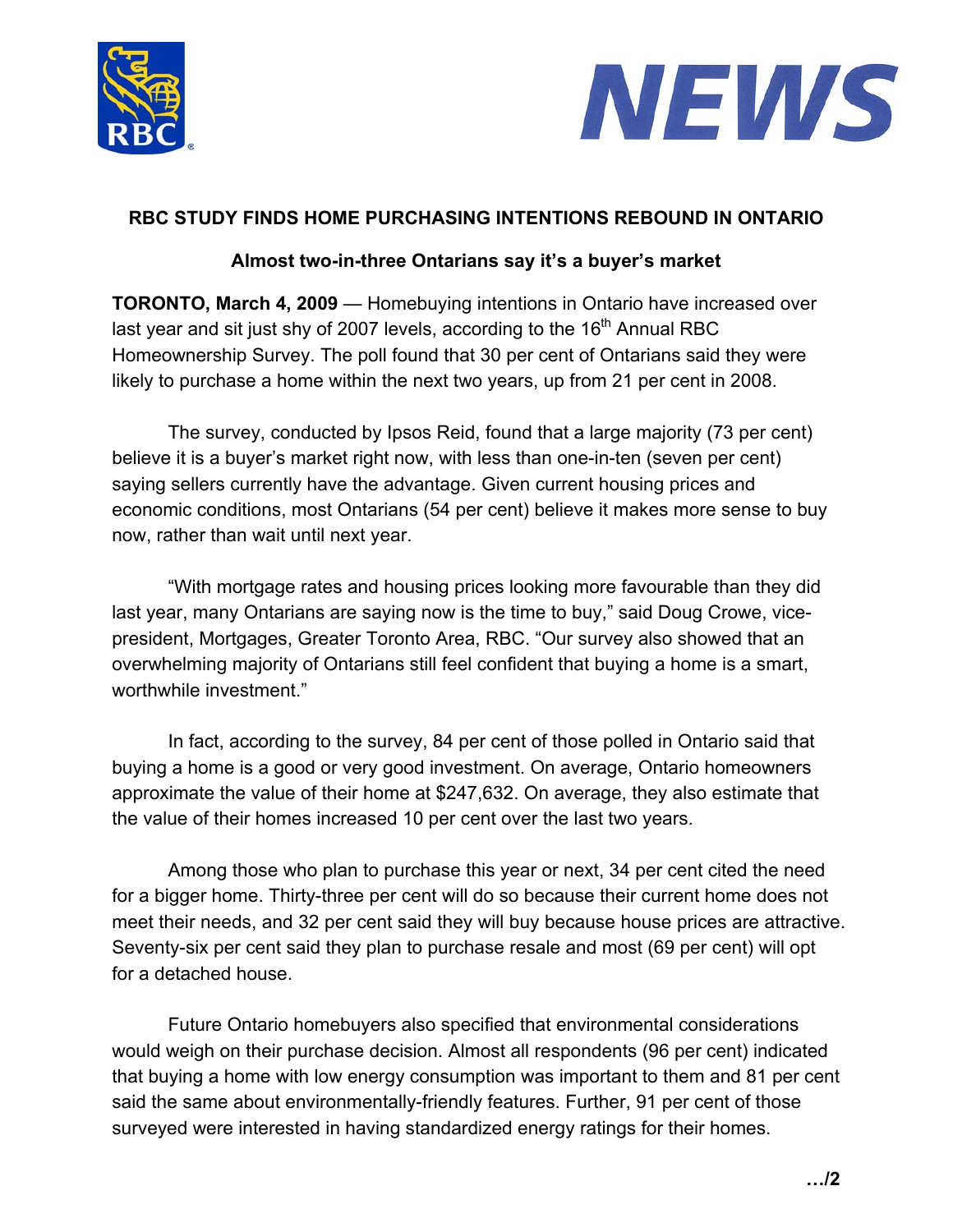



## **RBC STUDY FINDS HOME PURCHASING INTENTIONS REBOUND IN ONTARIO**

## **Almost two-in-three Ontarians say it's a buyer's market**

**TORONTO, March 4, 2009** — Homebuying intentions in Ontario have increased over last year and sit just shy of 2007 levels, according to the  $16<sup>th</sup>$  Annual RBC Homeownership Survey. The poll found that 30 per cent of Ontarians said they were likely to purchase a home within the next two years, up from 21 per cent in 2008.

The survey, conducted by Ipsos Reid, found that a large majority (73 per cent) believe it is a buyer's market right now, with less than one-in-ten (seven per cent) saying sellers currently have the advantage. Given current housing prices and economic conditions, most Ontarians (54 per cent) believe it makes more sense to buy now, rather than wait until next year.

"With mortgage rates and housing prices looking more favourable than they did last year, many Ontarians are saying now is the time to buy," said Doug Crowe, vicepresident, Mortgages, Greater Toronto Area, RBC. "Our survey also showed that an overwhelming majority of Ontarians still feel confident that buying a home is a smart, worthwhile investment."

In fact, according to the survey, 84 per cent of those polled in Ontario said that buying a home is a good or very good investment. On average, Ontario homeowners approximate the value of their home at \$247,632. On average, they also estimate that the value of their homes increased 10 per cent over the last two years.

Among those who plan to purchase this year or next, 34 per cent cited the need for a bigger home. Thirty-three per cent will do so because their current home does not meet their needs, and 32 per cent said they will buy because house prices are attractive. Seventy-six per cent said they plan to purchase resale and most (69 per cent) will opt for a detached house.

Future Ontario homebuyers also specified that environmental considerations would weigh on their purchase decision. Almost all respondents (96 per cent) indicated that buying a home with low energy consumption was important to them and 81 per cent said the same about environmentally-friendly features. Further, 91 per cent of those surveyed were interested in having standardized energy ratings for their homes.